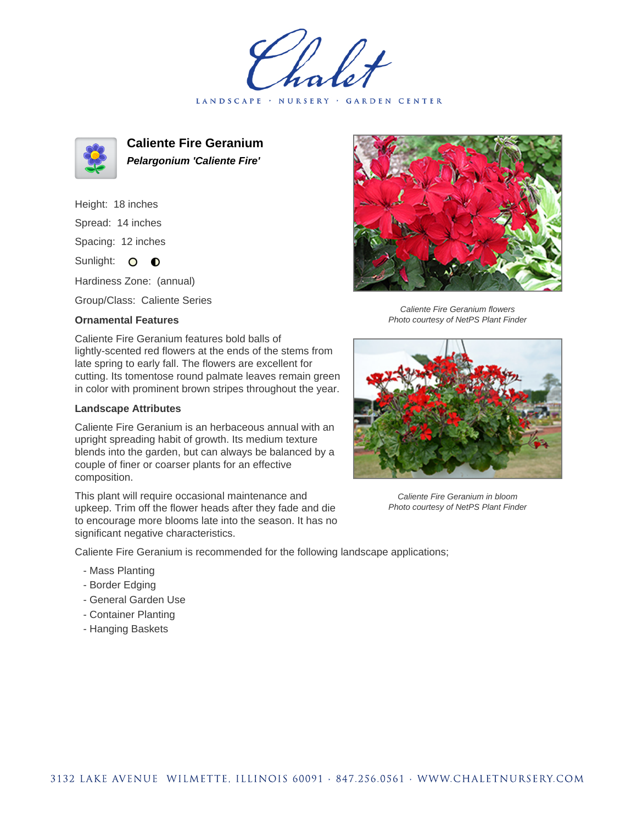LANDSCAPE · NURSERY · GARDEN CENTER



**Caliente Fire Geranium Pelargonium 'Caliente Fire'**

Height: 18 inches Spread: 14 inches Spacing: 12 inches Sunlight: O **O** 

Hardiness Zone: (annual)

Group/Class: Caliente Series

## **Ornamental Features**

Caliente Fire Geranium features bold balls of lightly-scented red flowers at the ends of the stems from late spring to early fall. The flowers are excellent for cutting. Its tomentose round palmate leaves remain green in color with prominent brown stripes throughout the year.

## **Landscape Attributes**

Caliente Fire Geranium is an herbaceous annual with an upright spreading habit of growth. Its medium texture blends into the garden, but can always be balanced by a couple of finer or coarser plants for an effective composition.

This plant will require occasional maintenance and upkeep. Trim off the flower heads after they fade and die to encourage more blooms late into the season. It has no significant negative characteristics.

Caliente Fire Geranium is recommended for the following landscape applications;

- Mass Planting
- Border Edging
- General Garden Use
- Container Planting
- Hanging Baskets



Caliente Fire Geranium flowers Photo courtesy of NetPS Plant Finder



Caliente Fire Geranium in bloom Photo courtesy of NetPS Plant Finder